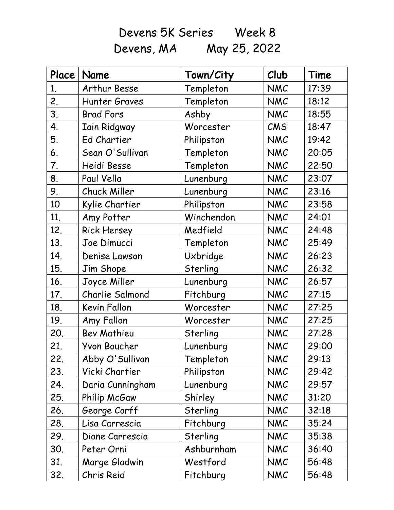Devens 5K Series Week 8 Devens, MA May 25, 2022

| Place | Name                | Town/City  | Club       | Time  |
|-------|---------------------|------------|------------|-------|
| 1.    | Arthur Besse        | Templeton  | <b>NMC</b> | 17:39 |
| 2.    | Hunter Graves       | Templeton  | <b>NMC</b> | 18:12 |
| 3.    | <b>Brad Fors</b>    | Ashby      | <b>NMC</b> | 18:55 |
| 4.    | <b>Iain Ridgway</b> | Worcester  | CMS        | 18:47 |
| 5.    | Ed Chartier         | Philipston | <b>NMC</b> | 19:42 |
| 6.    | Sean O'Sullivan     | Templeton  | <b>NMC</b> | 20:05 |
| 7.    | Heidi Besse         | Templeton  | <b>NMC</b> | 22:50 |
| 8.    | Paul Vella          | Lunenburg  | <b>NMC</b> | 23:07 |
| 9.    | Chuck Miller        | Lunenburg  | <b>NMC</b> | 23:16 |
| 10    | Kylie Chartier      | Philipston | <b>NMC</b> | 23:58 |
| 11.   | Amy Potter          | Winchendon | <b>NMC</b> | 24:01 |
| 12.   | <b>Rick Hersey</b>  | Medfield   | <b>NMC</b> | 24:48 |
| 13.   | Joe Dimucci         | Templeton  | <b>NMC</b> | 25:49 |
| 14.   | Denise Lawson       | Uxbridge   | <b>NMC</b> | 26:23 |
| 15.   | Jim Shope           | Sterling   | <b>NMC</b> | 26:32 |
| 16.   | Joyce Miller        | Lunenburg  | <b>NMC</b> | 26:57 |
| 17.   | Charlie Salmond     | Fitchburg  | <b>NMC</b> | 27:15 |
| 18.   | Kevin Fallon        | Worcester  | <b>NMC</b> | 27:25 |
| 19.   | Amy Fallon          | Worcester  | <b>NMC</b> | 27:25 |
| 20.   | <b>Bev Mathieu</b>  | Sterling   | <b>NMC</b> | 27:28 |
| 21.   | Yvon Boucher        | Lunenburg  | <b>NMC</b> | 29:00 |
| 22.   | Abby O'Sullivan     | Templeton  | NMC        | 29:13 |
| 23.   | Vicki Chartier      | Philipston | <b>NMC</b> | 29:42 |
| 24.   | Daria Cunningham    | Lunenburg  | <b>NMC</b> | 29:57 |
| 25.   | Philip McGaw        | Shirley    | <b>NMC</b> | 31:20 |
| 26.   | George Corff        | Sterling   | <b>NMC</b> | 32:18 |
| 28.   | Lisa Carrescia      | Fitchburg  | <b>NMC</b> | 35:24 |
| 29.   | Diane Carrescia     | Sterling   | <b>NMC</b> | 35:38 |
| 30.   | Peter Orni          | Ashburnham | <b>NMC</b> | 36:40 |
| 31.   | Marge Gladwin       | Westford   | <b>NMC</b> | 56:48 |
| 32.   | Chris Reid          | Fitchburg  | <b>NMC</b> | 56:48 |